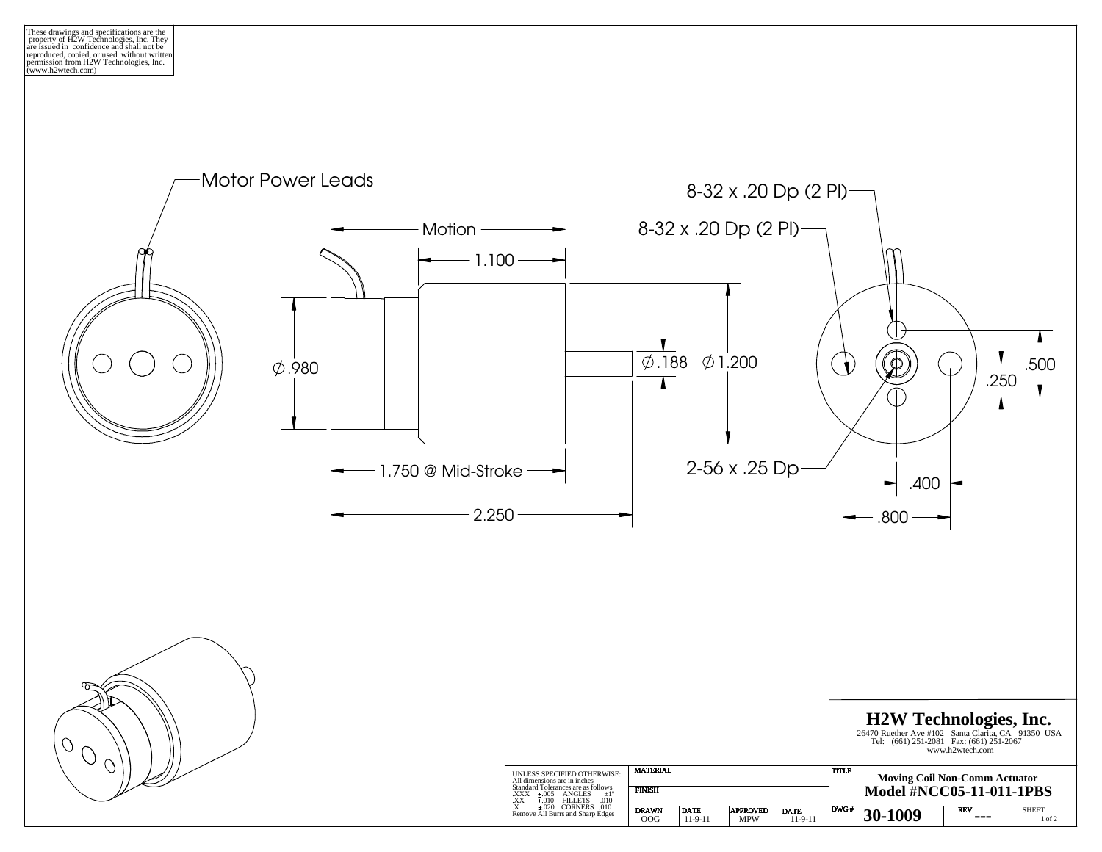